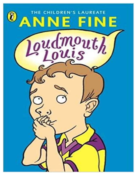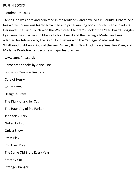### PUFFIN BOOKS

### Loudmouth Louis

 Anne Fine was born and educated in the Midlands, and now lives in County Durham. She has written numerous highly acclaimed and prize-winning books for children and adults. Her novel The Tulip Touch won the Whitbread Children's Book of the Year Award; Goggle-Eyes won the Guardian Children's Fiction Award and the Carnegie Medal, and was adapted for television by the BBC; Flour Babies won the Carnegie Medal and the Whitbread Children's Book of the Year Award; Bill's New Frock won a Smarties Prize, and Madame Doubtfire has become a major feature film.

www.annefine.co.uk

Some other books by Anne Fine

Books for Younger Readers

Care of Henry

Countdown

Design-a-Pram

The Diary of a Killer Cat

The Haunting of Pip Parker

Jennifer's Diary

Not so Hot so

Only a Show

Press Play

Roll Over Roly

The Same Old Story Every Year

Scaredy-Cat

Stranger Danger?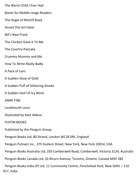The Worst Child I Ever Had

Books for Middle-range Readers

The Angel of Nitshill Road

Anneli The Art Hater

Bill's New Frock

The Chicken Gave It To Me

The Country Pancake

Crummy Mummy and Me

How To Write Really Badly

A Pack of Liars

A Sudden Glow of Gold

A Sudden Puff of Glittering Smoke

A Sudden Swirl of Icy Wind

ANNE FINE

Loudmouth Louis

Illustrated by Kate Aldous

PUFFIN BOOKS

Published by the Penguin Group

Penguin Books Ltd, 80 Strand, London WC2R 0RL, England

Penguin Putnam Inc., 375 Hudson Street, New York, New York 10014, USA

Penguin Books Australia Ltd, 250 Camberwell Road, Camberwell, Victoria 3124, Australia

Penguin Books Canada Ltd, 10 Alcorn Avenue, Toronto, Ontario, Canada M4V 3B2

 Penguin Books India (P) Ltd, 11 Community Centre, Panchsheel Park, New Delhi – 110 017, India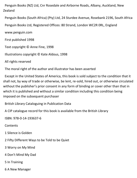Penguin Books (NZ) Ltd, Cnr Rosedale and Airborne Roads, Albany, Auckland, New Zealand

 Penguin Books (South Africa) (Pty) Ltd, 24 Sturdee Avenue, Rosebank 2196, South Africa Penguin Books Ltd, Registered Offices: 80 Strand, London WC2R 0RL, England www.penguin.com First published 1998 Text copyright © Anne Fine, 1998 Illustrations copyright © Kate Aldous, 1998 All rights reserved The moral right of the author and illustrator has been asserted

 Except in the United States of America, this book is sold subject to the condition that it shall not, by way of trade or otherwise, be lent, re-sold, hired out, or otherwise circulated without the publisher's prior consent in any form of binding or cover other than that in which it is published and without a similar condition including this condition being imposed on the subsequent purchaser

British Library Cataloguing in Publication Data

A CIP catalogue record for this book is available from the British Library

ISBN: 978-0-14-193637-6

**Contents** 

1 Silence is Golden

2 Fifty Different Ways to be Told to be Quiet

3 Worry on My Mind

4 Don't Mind My Dad

5 In Training

6 A New Manager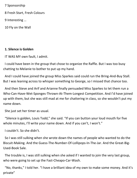7 Sponsorship

8 Fresh Start, Fresh Colours

9 Interesting …

10 Fly on the Wall

### **1. Silence is Golden**

IT WAS MY own fault, I admit.

I could have been in the group that chose to organize the Raffle. But I was too busy chatting to Melanie to bother to put up my hand.

 And I could have joined the group Miss Sparkes said could run the Bring-And-Buy Stall. But I was leaning across to whisper something to George, so I missed that chance too.

 And then Steve and Arif and Arianne finally persuaded Miss Sparkes to let them run a Who-Can-Have-Wet-Sponges-Thrown-At-Them-Longest Competition. And I'd have joined up with them, but she was still mad at me for chattering in class, so she wouldn't put my name down.

She just set her timer as usual.

 "Silence is golden, Louis Todd," she said. "If you can button your loud mouth for five whole minutes, I'll write your name down. And if you can't, I won't."

```
 I couldn't. So she didn't.
```
 So I was still sulking when she wrote down the names of people who wanted to do the Biscuit-Making. And the Guess-The-Number-Of-Lollipops-In-The-Jar. And the Great-Big-Used-Book Sale.

 The trouble is, I was still sulking when she asked if I wanted to join the very last group, who were going to set up the Fast-Cheapo-Car-Wash.

 "No, thanks," I told her. "I have a brilliant idea of my own to make some money. And it's private"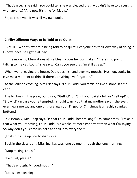"That's nice," she said. (You could tell she was pleased that I wouldn't have to discuss it with anyone.) "And now it's time for Maths."

So, as I told you, it was all my own fault.

## **2. Fifty Different Ways to be Told to be Quiet**

 I AM THE world's expert in being told to be quiet. Everyone has their own way of doing it. I know, because I get it all day.

 In the morning, Mum stares at me blearily over her cornflakes. "There's no point in talking to me yet, Louis," she says. "Can't you see that I'm still asleep?"

 When we're leaving the house, Dad claps his hand over my mouth. "Hush up, Louis. Just give me a moment to think if there's anything I've forgotten."

 At the lollipop crossing, Mrs Frier says, "Louis Todd, you rattle on like a stone in a tin can."

 The big boys in the playground say, "Stuff it!" or "Shut your cakehole!" or "Belt up!" or "Stow it!" (In case you're tempted, I should warn you that my mother says if she ever, ever hears me say any one of those again, all I'll get for Christmas is a freshly spanked bottom.)

 In Assembly, Mrs Heap says, "Is that Louis Todd I hear talking?" Or, sometimes, "I take it that what you're saying, Louis Todd, is a whole lot more important than what I'm saying. So why don't you come up here and tell it to everyone?"

(That shuts me up pretty sharpish.)

Back in the classroom, Miss Sparkes says, one by one, through the long morning:

"Stop talking, Louis."

"Be quiet, please."

"That's enough, Mr Loudmouth."

"Louis, I'm speaking"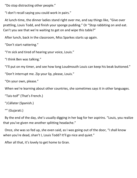"Do stop distracting other people."

"I don't recall saying you could work in pairs."

 At lunch-time, the dinner ladies stand right over me, and say things like, "Give over prattling, Louis Todd, and finish your sponge pudding." Or "Stop rabbiting on and eat. Can't you see that we're waiting to get on and wipe this table?"

After lunch, back in the classroom, Miss Sparkes starts up again.

"Don't start nattering."

"I'm sick and tired of hearing your voice, Louis."

"I think Ben was talking."

"I'll put on my timer, and see how long Loudmouth Louis can keep his beak buttoned."

"Don't interrupt me. Zip your lip, please, Louis."

"On your own, please."

When we're learning about other countries, she sometimes says it in other languages.

```
 "Tais-toif" (That's French.)
```

```
 "¡Cállater (Spanish.)
```

```
 "" (Gujarati.)
```
 By the end of the day, she's usually digging in her bag for her aspirins. "Louis, you realize that you've given me another splitting headache."

 Once, she was so fed up, she even said, as I was going out of the door, "I shall know when you're dead, shan't I, Louis Todd? It'll go nice and quiet."

After all that, it's lovely to get home to Gran.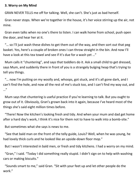#### **3. Worry on My Mind**

GRAN NEVER TELLS me off for talking. Well, she can't. She's just as bad herself.

 Gran never stops. When we're together in the house, it's her voice stirring up the air, not mine.

 Gran even talks when no one's there to listen. I can walk home from school, push open the door, and hear her at it.

"... so I'll just wash these dishes to get them out of the way, and then sort out that peg basket. Yes, here's a couple of broken ones I can throw straight in the bin. And now I'll have a look at this tea towel and see if it's due for a wash yet …"

 Mum calls it "chuntering", and says that toddlers do it. Ask a small child to get dressed, says Mum, and suddenly there in front of you is a strangely bulging heap that's trying to tell you things.

 "… now I'm putting on my woolly and, whoops, got stuck, and it's all gone dark, and I can't find the hole, and now all the rest of me's stuck too, and I can't find my way out, and …"

 Mum says that chuntering is useful practice if you're learning to talk. But you ought to grow out of it. Obviously, Gran's grown back into it again, because I've heard most of the things she's said eight million times before.

"There! Now the kitchen's looking fresh and tidy. And when your mum and dad get home after a hard day's work, I think it's nice for them not to have to walk into a bomb-site."

But sometimes what she says is news to me.

 "See that bald man on the front of the telly guide, Louis? Well, when he was young, he had lovely thick curls and he looked like an upside-down floor mop."

But I wasn't interested in bald men, or fresh and tidy kitchens. I had a worry on my mind.

 "Gran," I said. "Today I did something really stupid. I didn't sign on to help with washing cars or making biscuits."

 "Sounds smart to me," said Gran. "Sit with your feet up and let other people do the work."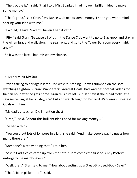"The trouble is," I said, "that I told Miss Sparkes I had my own brilliant idea to make some money."

 "That's good," said Gran. "My Dance Club needs some money. I hope you won't mind sharing your idea with me."

"I would," I said, "except I haven't had it yet."

 "Pity," said Gran. "Because all of us in the Dance Club want to go to Blackpool and stay in the Alhambra, and walk along the sea front, and go to the Tower Ballroom every night, and  $-$ "

So it was too late. I had missed my chance.

## **4. Don't Mind My Dad**

 I tried talking to her again later. Dad wasn't listening. He was slumped on the sofa watching Leighton Buzzard Wanderers' Greatest Goals. Dad watches football videos for half an hour after he gets home. Gran tells him off. But Dad says if she'd had forty little savages yelling at her all day, she'd sit and watch Leighton Buzzard Wanderers' Greatest Goals with him.

```
 (My dad's a teacher. Did I mention that?)
```
"Gran," I said. "About this brilliant idea I need for making money …"

She had a think.

 "You could put lots of lollipops in a jar," she said. "And make people pay to guess how many there are."

"Someone's already doing that," I told her.

 "Sssh!" Dad's voice came up from the sofa. "Here comes the first of Lenny Potter's unforgettable match-savers."

"Well, then," Gran said to me. "How about setting up a Great-Big-Used-Book Sale?"

"That's been picked too," I said.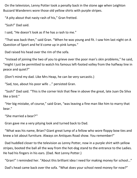On the television, Lenny Potter took a penalty back in the stone age when Leighton Buzzard Wanderers wore those old yellow shirts with purple stripes.

"A pity about that nasty rash of his," Gran fretted.

"Sssh!" Dad said.

I said, "He doesn't look as if he has a rash to me."

 "That was back then," said Gran. "When he was young and fit. I saw him last night on A Question of Sport and he'd come up in pink lumps."

Dad raised his head over the rim of the sofa.

 "Instead of joining the two of you to grieve over the poor man's skin problems," he said, "might I just be permitted to watch his famous left-footed volley from the halfway line in peace and quiet?"

(Don't mind my dad. Like Mrs Heap, he can be very sarcastic.)

"Sad, too, about his poor wife …" persisted Gran.

 "Sssh!" Dad said. "This is the corner kick that flew in above the great, late Juan Da Silva like a bird."

 "Her big mistake, of course," said Gran, "was leaving a fine man like him to marry that bear."

```
 "She married a bear?"'
```
Gran gave me a very pitying look and turned back to Dad.

 "What was his name, Brian? Giant great lump of a fellow who wore floppy bow ties and knew a lot about furniture. Always on Antiques Road show. You remember!"

 Dad huddled closer to the television as Lenny Potter, now in a purple shirt with yellow stripes, booted the ball all the way from the hot-dog stand to the entrance to the Ladies. He had his fingers in his ears. (Dad. Not Lenny Potter.)

"Gran!" I reminded her. "About this brilliant idea I need for making money for school…"

Dad's head came back over the sofa. "What does your school need money for now?"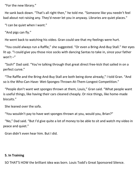"For the new library."

 He sank back down. "That's all right then," he told me. "Someone like you needn't feel bad about not raising any. They'd never let you in anyway. Libraries are quiet places."

"I can be quiet when I want."

"And pigs can fly."

He went back to watching his video. Gran could see that my feelings were hurt.

 "You could always run a Raffle," she suggested. "Or even a Bring-And-Buy Stall." Her eyes lit up. "I could give you those nice socks with dancing Santas to take in, since your father won't  $-$ "

 "Sssh!" Dad said. "You're talking through that great direct free-kick that sailed in on a perfect curve."

 "The Raffle and the Bring-And-Buy Stall are both being done already," I told Gran. "And so is the Who-Can-Have- Wet-Sponges-Thrown-At-Them-Longest Competition."

 "People don't want wet sponges thrown at them, Louis," Gran said. "What people want is useful things, like having their cars cleaned cheaply. Or nice things, like home-made biscuits."

She leaned over the sofa.

"You wouldn't pay to have wet sponges thrown at you, would you, Brian?"

 "No," Dad said. "But I'd give quite a lot of money to be able to sit and watch my video in peace and quiet."

Gran didn't even hear him. But I did.

#### **5. In Training**

SO THAT'S HOW the brilliant idea was born. Louis Todd's Great Sponsored Silence.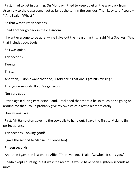First, I had to get in training. On Monday, I tried to keep quiet all the way back from Assembly to the classroom. I got as far as the turn in the corridor. Then Lucy said, "Louis -" And I said, "What?"

So that was thirteen seconds.

I had another go back in the classroom.

 "I want everyone to be quiet while I give out the measuring kits," said Miss Sparkes. "And that includes you, Louis.

So I was quiet.

Ten seconds.

Twenty.

Thirty.

And then, "I don't want that one," I told her. "That one's got bits missing."

Thirty-one seconds. If you're generous

Not very good.

 I tried again during Percussion Band. I reckoned that there'd be so much noise going on around me that I could probably give my own voice a rest a bit more easily.

How wrong I was.

 First, Mr Hambleton gave me the cowbells to hand out. I gave the first to Melanie (in perfect silence).

Ten seconds. Looking good!

I gave the second to Marisa (in silence too).

Fifteen seconds.

And then I gave the last one to Alfie. "There you go," I said. "Cowbell. It suits you."

 I hadn't kept counting, but it wasn't a record. It would have been eighteen seconds at most.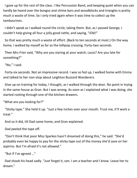I gave up for the rest of the class. I like Percussion Band, and keeping quiet when you can hardly be heard over the bongos and chime bars and woodblocks and triangles is pretty much a waste of time. So I only tried again when it was time to collect up the tambourines.

 I didn't speak as I walked round the circle, taking them. But, as I passed George, I couldn't help giving all four a jolly good rattle, and saying, "iOlé!"

 So that was pretty much a waste of effort. (Back to ten seconds at most.) On the way home, I walked by myself as far as the lollipop crossing. Forty-two seconds.

 Then Mrs Frier said, "Why are you staring at your watch, Louis? Are you late for something?"

"No," I said.

 Forty-six seconds. Not an impressive record. I was so fed up, I walked home with Emma and talked to her non-stop about Leighton Buzzard Wanderers.

 Give up on training for today, I thought, as I walked through the door. No point in trying in the same house as Gran. But I was wrong. As soon as I explained what I was doing, she started rooting through one of the kitchen drawers.

```
"What are you looking for?"
```
 "Sticky tape." She held it up. "Just a few inches over your mouth. Trust me, it'll work a treat."

And so it did, till Dad came home, and Gran explained.

Dad peeled the tape off.

 "Don't think that poor Miss Sparkes hasn't dreamed of doing this," he said. "She'd probably even be happy to pay for the sticky tape out of the money she'd save on her aspirins. But I'm afraid it's not allowed."

```
 "But if I've agreed …"
```
 Dad shook his head sadly. "Just forget it, son. I am a teacher and I know. Leave her to dream."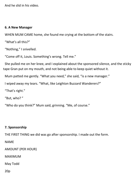And he slid in his video.

#### **6. A New Manager**

WHEN MUM CAME home, she found me crying at the bottom of the stairs.

"What's all this?"

"Nothing," I snivelled.

"Come off it, Louis. Something's wrong. Tell me."

 She pulled me on her knee, and I explained about the sponsored silence, and the sticky tape Gran put on my mouth, and not being able to keep quiet without it.

Mum patted me gently. "What you need," she said, "is a new manager."

I wiped away my tears. "What, like Leighton Buzzard Wanderers?"

"That's right."

"But, who? "

"Who do you think?" Mum said, grinning. "Me, of course."

#### **7. Sponsorship**

THE FIRST THING we did was go after sponsorship. I made out the form.

NAME

AMOUNT (PER HOUR)

MAXIMUM

May Todd

20p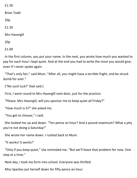£1.50

Brian Todd

20p

£1.50

Mrs Havergill

20p

£1.00

 In the first column, you put your name. In the next, you wrote how much you wanted to pay for each hour I kept quiet. And at the end you had to write the most you would give, even if I never spoke again.

 "That's only fair," said Mum. "After all, you might have a terrible fright, and be struck dumb for ever."

("No such luck!" Dad said.)

First, I went round to Mrs Havergill next door, just for the practice.

"Please, Mrs Havergill, will you sponsor me to keep quiet all Friday?"

"How much is it?" she asked me.

"You get to choose," I said.

 She looked me up and down. "Ten pence an hour? And a pound maximum? What a pity you're not doing a Saturday!"

She wrote her name down. I rushed back to Mum.

"It works! It works!"

 "Only if you keep quiet," she reminded me. "But we'll leave that problem for now. One step at a time."

Next day, I took my form into school. Everyone was thrilled.

Miss Sparkes put herself down for fifty pence an hour.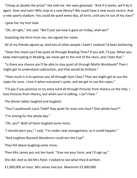"Cheap at double the price!" she told me. Her eyes gleamed. "And if it works, we'll do it again. Over and over! Why stop at a new library? We could have a new music centre. And a new sports stadium. You could be quiet every day, all term, until you're out of my class!"

I gave her my hurt look.

"Oh, all right," she said. "We'll just see how it goes on Friday, shall we?"

Snatching the form from me, she signed her name.

All of my friends signed up. And lots of other people I hadn't realized I'd been bothering.

 "Does this mean you'll be quiet all through Reading Time? If you will, I'll pay. When you keep interrupting in Reading, we never get to the end of the story, and I hate that."

 "Is there any chance you'll be able to stay quiet all through Maths Workbook? Then I might get to understand subtraction, and that would be brilliant."

 "How much is it to sponsor you all through Gym Class? Then we might get to use the ropes for once. I love it when everyone's quiet, and we get to use the ropes."

 "I'll pay if you promise to try extra hard all through Pictures from History on the telly. I love Pictures from History, but when you're talking, I can't hear."

The dinner ladies laughed and laughed.

"You? Loudmouth Louis Todd? Stay quiet for even one hour? One whole hour?"

"I'm aiming for the whole day."

"Oh, yes?" Both of them laughed some more.

"I should warn you," I said, "I'm under new management, so it could happen."

"And Leighton Buzzard Wanderers could win the Cup!"

They fell about laughing some more.

Then Mrs James put out her hand. "Give me your form, and I'll sign up."

She did. And so did Mrs Patel. I looked to see what they'd written.

£1,000,000 an hour, Mrs James had put. Maximum £5,000,000.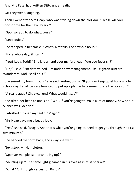And Mrs Patel had written Ditto underneath.

Off they went, laughing.

 Then I went after Mrs Heap, who was striding down the corridor. "Please will you sponsor me for the new library?"

"Sponsor you to do what, Louis?"

"Keep quiet."

She stopped in her tracks. "What? Not talk? For a whole hour?"

"For a whole day, if I can."

"You? Louis Todd?" She laid a hand over my forehead. "Are you feverish?"

 "No," I said. "I'm determined. I'm under new management, like Leighton Buzzard Wanderers. And I shall do it."

 She seized my form. "Louis," she said, writing busily. "If you can keep quiet for a whole school day, I shall be very tempted to put up a plaque to commemorate the occasion."

"A real plaque? Oh, excellent! What would it say?"

 She tilted her head to one side. "Well, if you're going to make a lot of money, how about: Silence was Golden?"

I whistled through my teeth. "Magic!"

Mrs Heap gave me a beady look.

 "Yes," she said. "Magic. And that's what you're going to need to get you through the first five minutes."

She handed the form back, and away she went.

Next stop, Mr Hambleton.

"Sponsor me, please, for shutting up?"

"Shutting up?" The same light gleamed in his eyes as in Miss Sparkes'.

"What? All through Percussion Band?"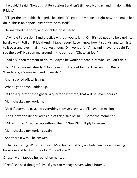"I would," I said. "Except that Percussion Band isn't till next Monday, and I'm doing this Friday."

 "I'll get the timetable changed," he cried. "I'll go after Mrs Heap right now, and make her do it. This is an opportunity not to be missed!"

He snatched the form, and scribbled on it madly.

 "A whole Percussion Band practice without you talking! Oh, it's too good to be true! I can hardly wait! Roll on, Friday! And I'll tape-record it, so I know how it sounds, and can listen to it over and over in all my darkest hours. Oh, wonderful! Amazing! I never thought I'd see the day!" He spun me around in the corridor. "Oh, what joy!"

I had a sudden moment of doubt. Maybe he wouldn't hear it. Maybe I couldn't do it.

 "No!" I told myself sternly. "Don't even think about failure. Like Leighton Buzzard Wanderers, it's onwards and upwards!"

And I strolled off, whistling.

When I got home, I added up.

"If I do a quarter past eight till a quarter past three, that will be seven hours."

Mum checked my working.

"And if everyone pays me everything they've promised, I'll have ten million  $-$ '

"Let's leave the dinner ladies out of this," said Mum. "Just for the moment."

"All right then." I added up without them. "Now I'll multiply by seven."

Mum checked my working again.

And there it was. The answer.

 "That's amazing. With that much, Mrs Heap could buy a whole new floor-to-ceiling bookcase and Jill it with books. Couldn't she?"

Mum tapped her pencil on her teeth.

"Yes," she said thoughtfully. "If you can manage seven whole hours …"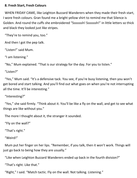### **8. Fresh Start, Fresh Colours**

 WHEN FRIDAY CAME, like Leighton Buzzard Wanderers when they made their fresh start, I wore fresh colours. Gran found me a bright yellow shirt to remind me that Silence is Golden. And round the cuffs she embroidered "Sssssssh! Sssssssh!" in little letters so thick and black they looked just like stripes.

"They're to remind you, too."

And then I got the pep talk.

"Listen!" said Mum.

"I am listening."

"No," Mum explained. "That is our strategy for the day. For you to listen."

"Listen?"

 "Yes," Mum said. "It's a defensive tack. You see, if you're busy listening, then you won't get bored and start talking. And you'll find out what goes on when you're not interrupting all the time. It'll be interesting."

"Interesting?"

 "Yes," she said firmly. "Think about it. You'll be like a fly on the wall, and get to see what things are like without you."

The more I thought about it, the stranger it sounded.

"Fly on the wall?"

"That's right."

"Weird!"

 Mum put her finger on her lips. "Remember, if you talk, then it won't work. Things will just go back to being how they are usually."

"Like when Leighton Buzzard Wanderers ended up back in the fourth division?"

"That's right. Like that."

"Right," I said. "Match tactic. Fly on the wall. Not talking. Listening."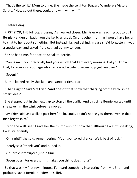"That's the spirit," Mum told me. She made the Leighton Buzzard Wanderers Victory Salute. "Now go out there, Louis, and win, win, win."

# **9. Interesting…**

 FIRST STOP, THE lollipop crossing. As I walked closer, Mrs Frier was reaching out to pull Bernie Henderson back from the kerb, as usual. On any other morning I would have begun to chat to her about something. But instead I lagged behind, in case she'd forgotten it was a special day, and asked if the cat had got my tongue.

So she had time, for once, to speak to Bernie.

 "Young man, you practically hurl yourself off that kerb every morning. Did you know that, for every girl your age who has a road accident, seven boys get run over?"

"Seven?"

Bernie looked really shocked, and stepped right back.

 "That's right," said Mrs Frier. "And doesn't that show that charging off the kerb isn't a smart idea?"

 She stepped out in the next gap to stop all the traffic. And this time Bernie waited until she gave him the wink before he moved.

 Mrs Frier said, as I walked past her: "Hello, Louis. I didn't notice you there, even in that nice bright shirt."

 Fly on the wall, see? I gave her the thumbs-up, to show that, although I wasn't speaking, I was still friendly.

"Oh, right!" she said, remembering. "Your sponsored silence! Well, best of luck!"

I nearly said "thank you" and ruined it.

But Bernie interrupted just in time.

"Seven boys! For every girl! It makes you think, doesn't it?"

 So that was my first few minutes. I'd heard something interesting from Mrs Frier (and probably saved Bernie Henderson's life).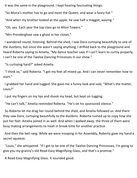It was the same in the playground. I kept hearing fascinating things.

"So Moira's mother has to go and meet the Queen, and wear a fancy hat."

"And when my brother looked at the apple, he saw half a maggot, waving."

"Oh, yes. Each year the top class go to Alton Towers."

"Mrs Prenderghast saw a ghost in her closet."

 I wandered round, listening. Behind the shed, I saw Dora curtsying beautifully to one of the dustbins, but since she wasn't saying anything, I drifted back to the playground and heard Roberta saying to Amelia, "My dance teacher says if I can't learn to curtsy properly, I can't be one of the Twelve Dancing Princesses in our show."

"Is curtsying hard?" asked Amelia.

 "I think so," said Roberta. "I get my feet all mixed up. And I can never remember how to start."

 I grabbed her hand and tugged. She gave me a funny look and said, "What's the matter, Louis?"

I put my fingers on my lips and shook my head, but kept on tugging.

"He can't talk," Amelia reminded Roberta. "He's on his sponsored silence."

 So Roberta let me drag her round behind the shed, and Amelia followed us. And there they saw Dora, curtsying beautifully to the dustbins. Roberta rushed up to copy how she put her feet. Amelia joined in as well. And when I walked away, the three of them were busy making arrangements to meet in break-time for another practice.

 And then the bell rang. While we were trooping in for Assembly, Roberta gave my hand a secret squeeze.

 "Louis," she whispered. "If I get to be one of the Twelve Dancing Princesses, I'm going to give you my granny's old Read-Easy Magnifying Glass, and that's a promise."

A Read-Easy Magnifying Glass. It sounded good.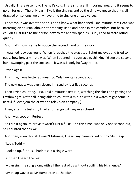Usually, I hate Assembly. The hall's cold, I hate sitting still in boring lines, and it seems to go on for ever. The only part I like is the singing, and by the time we get to that, it's all dragged on so long, we only have time to sing one or two verses.

 This time, it was over too soon. I don't know what happened. One minute, Mrs Heap was nattering on as usual about not dropping litter, and noise in the corridors. But because I couldn't just turn to the person next to me and whisper, as usual, I had to stare round quietly.

And that's how I came to notice the second hand on the clock.

 I watched it sweep round. When it reached the exact top, I shut my eyes and tried to guess how long a minute was. When I opened my eyes again, thinking I'd see the second hand swooping past the top again, it was still only halfway round.

I tried again.

This time, I was better at guessing. Only twenty seconds out.

The next guess was even closer. I missed by just five seconds.

 Then I tried counting. First, I did a minute's test run, watching the clock and getting the rhythm right. (After all, being able to count to a minute without a watch might come in useful if I ever join the army or a television company.)

Then, after my test run, I had another go with my eyes closed.

And I was spot on. Perfect.

 So I did it again, to prove it wasn't just a fluke. And this time I was only one second out, so I counted that as well.

And then, even though I wasn't listening, I heard my name called out by Mrs Heap.

"Louis Todd –

I looked up, furious. I hadn't said a single word.

But then I heard the rest.

"– can sing the song along with all the rest of us without spoiling his big silence."

Mrs Heap waved at Mr Hambleton at the piano.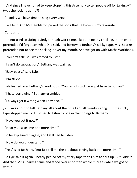"And since I haven't had to keep stopping this Assembly to tell people off for talking –" (was she looking at me?)

"– today we have time to sing every verse!"

Excellent. And Mr Hambleton picked the song that he knows is my favourite.

Curious …

 I'm not used to sitting quietly through work-time. I kept on nearly cracking. In the end I pretended I'd forgotten what Dad said, and borrowed Bethany's sticky tape. Miss Sparkes pretended not to see me sticking it over my mouth. And we got on with Maths Workbook.

I couldn't talk, so I was forced to listen.

"I can't do subtraction," Bethany was wailing.

"Easy-peasy," said Lyle.

"I'm stuck"

Lyle leaned over Bethany's workbook. "You're not stuck. You just have to borrow"

"I hate borrowing," Bethany grumbled.

"I always get it wrong when I pay back."

 $\frac{1}{2}$  I was about to tell Bethany all about the time I got all twenty wrong. But the sticky tape stopped me. So I just had to listen to Lyle explain things to Bethany.

"Have you got it now?"

"Nearly. Just tell me one more time."

So he explained it again, and I still had to listen.

"Now do you understand?"

"Yes," said Bethany. "But just tell me the bit about paying back one more time."

 So Lyle said it again. I nearly peeled off my sticky tape to tell him to shut up. But I didn't. And then Miss Sparkes came and stood over us for ten whole minutes while we got on with it.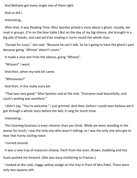And Bethany got every single one of them right.

And so did I.

Interesting…

 After that, it was Reading Time. Miss Sparkes picked a story about a ghost. Usually, we read in groups. (I'm on the blue table.) But on the day of my big silence, she brought in a big pile of books, and said we'd be reading in turns round the whole class.

 "Except for Louis," she said. "Because he can't talk. So he's going to have the ghost's part because going ' Whooo' doesn't count."

It made a nice rest from the silence, going "Whooo".

"Whooo!" I went.

And then, when my next bit came:

"Whoooooo!"

And then, in the really scary bit:

 "That was very good," Miss Sparkes said at the end. "Everyone read beautifully, and Louis's wailing was excellent."

 I didn't say, "You're welcome." I just grinned. And then, before I could even believe we'd got through a whole story before the bell, it rang for lunch-time.

Interesting…

 This listening business is even cleverer than you think. While we were standing in the queue for lunch, I was the only one who wasn't talking, so I was the only one who got to hear that funny sizzling noise.

I turned around.

It was a new tray of macaroni cheese, fresh from the oven. Brown, bubbling and hot.

Suzie pushed me forward. (She was busy chattering to Frances.)

 I looked at the cold, claggy yellow sludge on the tray in front of Mrs Patel. There were only two squares left.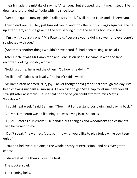I nearly made the mistake of saying, "After you," but stopped just in time. Instead, I bent down and pretended to fiddle with my shoe lace.

"Keep the queue moving, girls!" called Mrs Patel. "Walk round Louis and I'll serve you."

 They didn't realize. They just hurried round, and took the last two claggy squares. I came up after them, and she gave me the first serving out of the sizzling hot brown tray.

 "I'm giving you a big one," Mrs Patel said, "because you're doing so well, and everyone's so pleased with you."

(And that's another thing I wouldn't have heard if I had been talking, as usual.)

 After lunch, it was Mr Hambleton and Percussion Band. He came in with the tape recorder, looking horribly worried.

Nodding at me, he asked the others, "So how's he doing?"

"Brilliantly!" Caleb said loyally. "He hasn't said a word."

 Mr Hambleton beamed. "Oh, joy! I never thought he'd get this far through the day. I've been chewing my nails all morning. I even tried to get Mrs Heap to let me have you all straight after Assembly. But she said not one of you could afford to miss Maths Workbook."

"I could next week," said Bethany. "Now that I understand borrowing and paying back."

But Mr Hambleton wasn't listening. He was diving into the boxes.

 "Quick! Before Louis cracks!" He handed out triangles and woodblocks and castanets. Then he turned to me.

 "Don't speakl" he warned. "Just point to what you'd like to play today while you keep quiet."

 I couldn't believe it. No one in the whole history of Percussion Band has ever got to choose.

I stared at all the things I love the best.

The glockenspiel.

The chiming bells.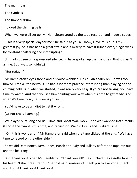The marimbas.

The cymbals.

The timpani drum.

I picked the chiming bells.

When we were all set up, Mr Hambleton stood by the tape recorder and made a speech.

 "This is a very special day for me," he said. "As you all know, I love music. It is my greatest joy. So it has been a great strain and a misery to have it ruined every single week by constant chattering and interrupting."

 (If I hadn't been on a sponsored silence, I'd have spoken up then, and said that it wasn't all me. But I was, so I didn't.)

"But today  $-$ "

 Mr Hambleton's eyes shone and his voice wobbled. He couldn't carry on. He was too moved. I felt a little nervous. I'd had a lot more practice interrupting than playing on the chiming bells. But, when we started, it was really very easy. If you're not talking, you have time to watch. And then you see him pointing your way when it's time to get ready. And when it's time to go, he sweeps you in.

You'd have to be an idiot to get it wrong.

```
 (Or not really listening.)
```
 We played Surf Song and Bell-Time and Ghost Walk Rock. Then we swapped instruments (I chose the cymbals this time) and carried on. We did Circus and Twilight Time.

 "Oh, this is wonderful!" Mr Hambleton said when the tape clicked at the end. "We have time to record on the other side."

 So we did Dem Bones, Dem Bones, Punch and Judy and Lullaby before the tape ran out and the bell rang.

 "Oh, thank you!" cried Mr Hambleton. "Thank you all!" He clutched the cassette tape to his heart. "I shall treasure this," he told us. "Treasure it! Thank you to everyone. Thank you, Louis! Thank you! Thank you!"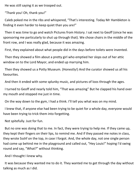He was still saying it as we trooped out.

"Thank you! Oh, thank you!"

 Caleb poked me in the ribs and whispered, "That's interesting. Today Mr Hambleton is finding it even harder to keep quiet than you are!"

 Then it was time to go and watch Pictures from History. I sat next to Geoff (since he was sponsoring me particularly to shut up through that). We chose chairs in the middle of the front row, and I was really glad, because it was amazing.

First, they explained about what people did in the days before toilets were invented.

 Then they showed a film about a pretty girl who emptied her slops out of her attic window on to the Lord Mayor, and ended up marrying him.

 Then they showed us a Potty Museum. (Honestly!) And the curator showed us all his favourites.

And then it ended with some splunky music, and pictures of loos through the ages.

 I turned to Geoff and nearly told him, "That was amazing" But he clapped his hand over my mouth and stopped me just in time.

On the way down to the gym, I had a think. I'll tell you what was on my mind.

 I knew that, if anyone else had been trying to be quiet for a whole day, everyone would have been trying to trick them into forgetting.

Not spitefully. Just for fun.

 But no one was doing that to me. In fact, they were trying to help me. If they came up, they kept their fingers on their lips, to remind me. And if they passed me notes in class, they wrote Ssshf on the top, in case I forgot. And, the whole day, not one single person had come up behind me in the playground and called out, "Hey Louis!" hoping I'd swing round and say, "What?" without thinking.

And I thought I knew why.

 It was because they wanted me to do it. They wanted me to get through the day without talking as much as I did.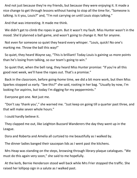And not just because they're my friends, but because they were enjoying it. It made a nice change to get through lessons without having to stop all the time for, "Someone is talking. Is it you, Louis?" and, "I'm not carrying on until Louis stops talking."

And that was interesting. It made me think.

 We didn't get to climb the ropes in gym. But it wasn't my fault. Miss Hunter wasn't in the mood. She'd planned a ball game, and wasn't going to change it. Not for anyone.

 Not even for someone so quiet they heard every whisper. "Louis, quick! No one's marking me. Throw the ball this way!"

 So quiet, they heard Wayne say, "This is brilliant! Today Louis is gaining us more points than he's losing from talking, so our team's going to win."

 So quiet that, when the bell rang, they heard Miss Hunter promise: "If you're all this good next week, we'll have the ropes out. That's a promise."

 Back in the classroom, before going-home time, we did a bit more work, but then Miss Sparkes stopped us early. "See this?" she said, rooting in her bag. "Usually by now, I'm looking For aspirins, but today I'm digging for my peppermints."

Everyone got one. Not just me.

 "Don't say 'thank you','' she warned me. "Just keep on going till a quarter past three, and that will make seven whole hours."

I could hardly believe it.

 They clapped me out, like Leighton Buzzard Wanderers the day they went up in the League.

Dora and Roberta and Amelia all curtsied to me beautifully as I walked by.

The dinner ladies banged their saucepan lids as I went past the kitchens.

 Mrs Heap was standing on the steps, browsing through library-plaque catalogues. "We must do this again very soon," she said to me hopefully.

 At the kerb, Bernie Henderson stood well back while Mrs Frier stopped the traffic. She raised her lollipop sign in a salute as I walked past.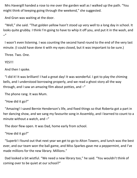Mrs Havergill handed a rose to me over the garden wall as I walked up the path. "You might think of keeping going through the weekend," she suggested.

And Gran was waiting at the door.

 "Well," she said. "That golden yellow hasn't stood up very well to a long day in school. It looks quite grubby. I think I'm going to have to whip it off you, and put it in the wash, and  $-$ "

 I wasn't even listening. I was counting the second hand round to the end of the very last minute. (I could have done it with my eyes closed, but it was important to be sure.)

Three. Two. One.

YES!!!

And then I spoke.

 "I did it! It was brilliant! I had a great day! It was wonderful. I got to play the chiming bells, and I understood borrowing properly, and we read a ghost story all the way through, and I saw an amazing film about potties, and  $-$ "

The phone rang. It was Mum.

```
 "How did it go?"
```
 "Amazing! I saved Bernie Henderson's life, and fixed things so that Roberta got a part in her dancing show, and we sang my favourite song in Assembly, and I learned to count to a minute without a watch, and  $-$ "

The door flew open. It was Dad, home early from school.

"How did it go?"

 "Superb! I found out that next year we get to go to Alton Towers, and lunch was the best ever, and our team won the ball game, and Miss Sparkes gave me a peppermint, and I've made millions for the new library. Millions."

 Dad looked a bit wistful. "We need a new library too," he said. "You wouldn't think of coming over to be quiet at our school?"